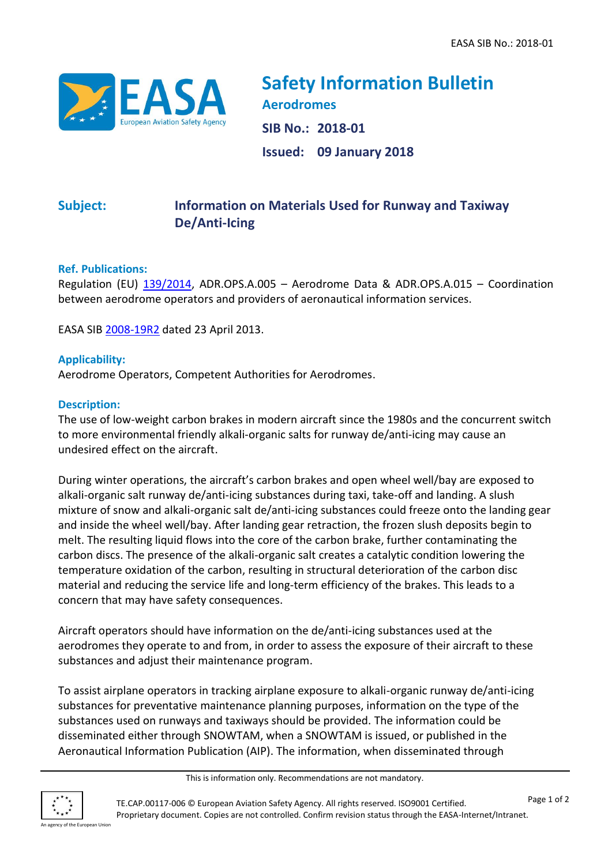

**Safety Information Bulletin Aerodromes SIB No.: 2018-01 Issued: 09 January 2018**

# **Subject: Information on Materials Used for Runway and Taxiway De/Anti-Icing**

## **Ref. Publications:**

Regulation (EU) [139/2014,](http://eur-lex.europa.eu/LexUriServ/LexUriServ.do?uri=OJ:L:2014:044:0001:0034:EN:PDF) ADR.OPS.A.005 – Aerodrome Data & ADR.OPS.A.015 – Coordination between aerodrome operators and providers of aeronautical information services.

EASA SIB [2008-19R2](https://ad.easa.europa.eu/ad/2008-19R2) dated 23 April 2013.

#### **Applicability:**

Aerodrome Operators, Competent Authorities for Aerodromes.

#### **Description:**

The use of low-weight carbon brakes in modern aircraft since the 1980s and the concurrent switch to more environmental friendly alkali-organic salts for runway de/anti-icing may cause an undesired effect on the aircraft.

During winter operations, the aircraft's carbon brakes and open wheel well/bay are exposed to alkali-organic salt runway de/anti-icing substances during taxi, take-off and landing. A slush mixture of snow and alkali-organic salt de/anti-icing substances could freeze onto the landing gear and inside the wheel well/bay. After landing gear retraction, the frozen slush deposits begin to melt. The resulting liquid flows into the core of the carbon brake, further contaminating the carbon discs. The presence of the alkali-organic salt creates a catalytic condition lowering the temperature oxidation of the carbon, resulting in structural deterioration of the carbon disc material and reducing the service life and long-term efficiency of the brakes. This leads to a concern that may have safety consequences.

Aircraft operators should have information on the de/anti-icing substances used at the aerodromes they operate to and from, in order to assess the exposure of their aircraft to these substances and adjust their maintenance program.

To assist airplane operators in tracking airplane exposure to alkali-organic runway de/anti-icing substances for preventative maintenance planning purposes, information on the type of the substances used on runways and taxiways should be provided. The information could be disseminated either through SNOWTAM, when a SNOWTAM is issued, or published in the Aeronautical Information Publication (AIP). The information, when disseminated through